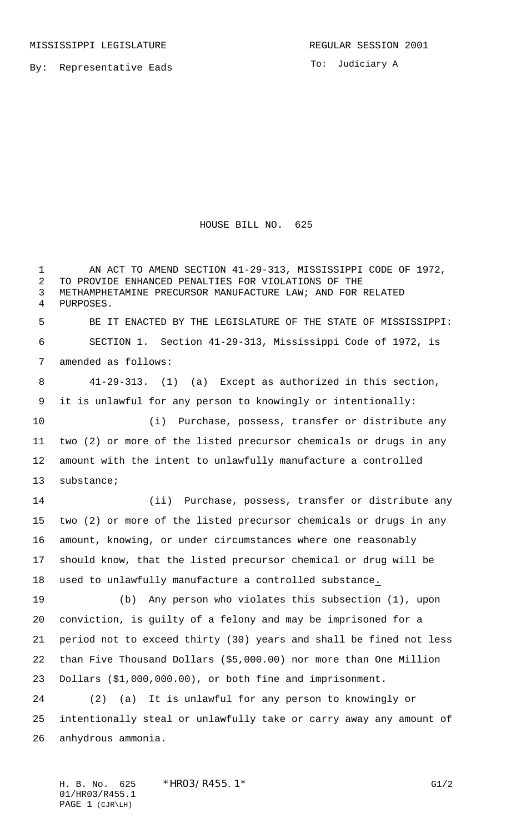To: Judiciary A

HOUSE BILL NO. 625

1 AN ACT TO AMEND SECTION 41-29-313, MISSISSIPPI CODE OF 1972, TO PROVIDE ENHANCED PENALTIES FOR VIOLATIONS OF THE METHAMPHETAMINE PRECURSOR MANUFACTURE LAW; AND FOR RELATED PURPOSES. BE IT ENACTED BY THE LEGISLATURE OF THE STATE OF MISSISSIPPI: SECTION 1. Section 41-29-313, Mississippi Code of 1972, is amended as follows: 41-29-313. (1) (a) Except as authorized in this section, it is unlawful for any person to knowingly or intentionally: (i) Purchase, possess, transfer or distribute any two (2) or more of the listed precursor chemicals or drugs in any amount with the intent to unlawfully manufacture a controlled substance; (ii) Purchase, possess, transfer or distribute any two (2) or more of the listed precursor chemicals or drugs in any amount, knowing, or under circumstances where one reasonably should know, that the listed precursor chemical or drug will be used to unlawfully manufacture a controlled substance. (b) Any person who violates this subsection (1), upon conviction, is guilty of a felony and may be imprisoned for a period not to exceed thirty (30) years and shall be fined not less than Five Thousand Dollars (\$5,000.00) nor more than One Million Dollars (\$1,000,000.00), or both fine and imprisonment. (2) (a) It is unlawful for any person to knowingly or intentionally steal or unlawfully take or carry away any amount of anhydrous ammonia.

H. B. No. 625 \* HRO3/R455.1\* G1/2 01/HR03/R455.1 PAGE 1 (CJR\LH)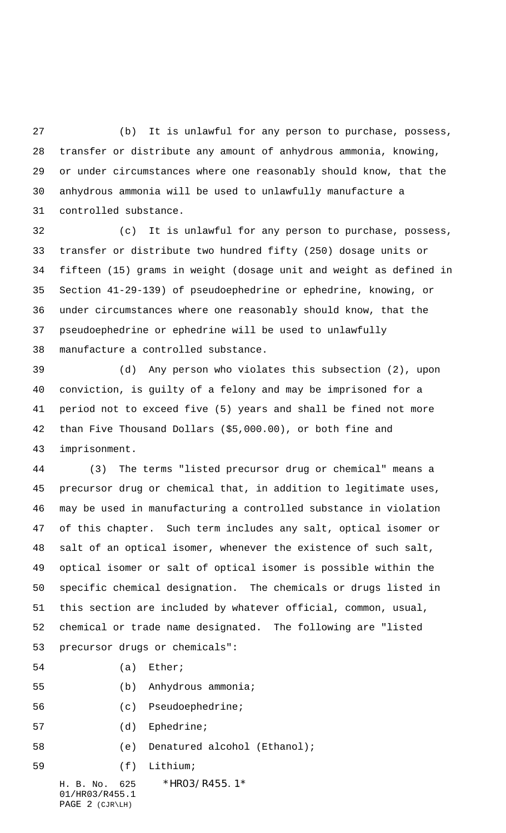(b) It is unlawful for any person to purchase, possess, transfer or distribute any amount of anhydrous ammonia, knowing, or under circumstances where one reasonably should know, that the anhydrous ammonia will be used to unlawfully manufacture a controlled substance.

 (c) It is unlawful for any person to purchase, possess, transfer or distribute two hundred fifty (250) dosage units or fifteen (15) grams in weight (dosage unit and weight as defined in Section 41-29-139) of pseudoephedrine or ephedrine, knowing, or under circumstances where one reasonably should know, that the pseudoephedrine or ephedrine will be used to unlawfully manufacture a controlled substance.

 (d) Any person who violates this subsection (2), upon conviction, is guilty of a felony and may be imprisoned for a period not to exceed five (5) years and shall be fined not more than Five Thousand Dollars (\$5,000.00), or both fine and imprisonment.

 (3) The terms "listed precursor drug or chemical" means a precursor drug or chemical that, in addition to legitimate uses, may be used in manufacturing a controlled substance in violation of this chapter. Such term includes any salt, optical isomer or salt of an optical isomer, whenever the existence of such salt, optical isomer or salt of optical isomer is possible within the specific chemical designation. The chemicals or drugs listed in this section are included by whatever official, common, usual, chemical or trade name designated. The following are "listed precursor drugs or chemicals":

- 54 (a) Ether;
- (b) Anhydrous ammonia;
- (c) Pseudoephedrine;
- 57 (d) Ephedrine;
- (e) Denatured alcohol (Ethanol);
- (f) Lithium;
	- H. B. No. 625 \*HR03/R455.1\*

01/HR03/R455.1 PAGE 2 (CJR\LH)